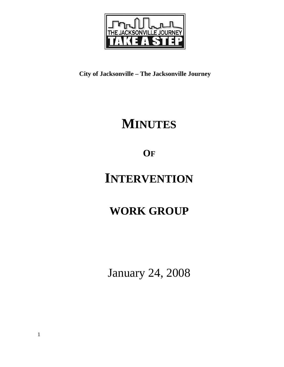

**City of Jacksonville – The Jacksonville Journey** 

# **MINUTES**

# **OF**

# **INTERVENTION**

# **WORK GROUP**

January 24, 2008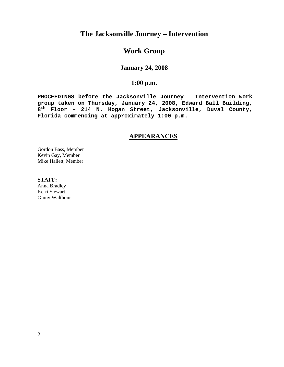## **The Jacksonville Journey – Intervention**

## **Work Group**

### **January 24, 2008**

### **1:00 p.m.**

**PROCEEDINGS before the Jacksonville Journey – Intervention work group taken on Thursday, January 24, 2008, Edward Ball Building, 8th Floor – 214 N. Hogan Street, Jacksonville, Duval County, Florida commencing at approximately 1:00 p.m.** 

### **APPEARANCES**

Gordon Bass, Member Kevin Gay, Member Mike Hallett, Member

**STAFF:**  Anna Bradley

Kerri Stewart Ginny Walthour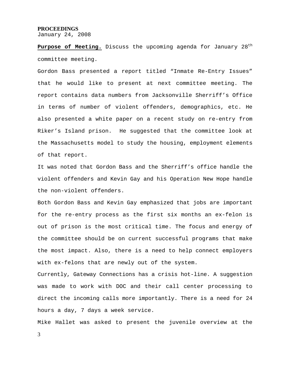#### **PROCEEDINGS**

January 24, 2008

**Purpose of Meeting.** Discuss the upcoming agenda for January 28<sup>th</sup> committee meeting.

Gordon Bass presented a report titled "Inmate Re-Entry Issues" that he would like to present at next committee meeting. The report contains data numbers from Jacksonville Sherriff's Office in terms of number of violent offenders, demographics, etc. He also presented a white paper on a recent study on re-entry from Riker's Island prison. He suggested that the committee look at the Massachusetts model to study the housing, employment elements of that report.

It was noted that Gordon Bass and the Sherriff's office handle the violent offenders and Kevin Gay and his Operation New Hope handle the non-violent offenders.

Both Gordon Bass and Kevin Gay emphasized that jobs are important for the re-entry process as the first six months an ex-felon is out of prison is the most critical time. The focus and energy of the committee should be on current successful programs that make the most impact. Also, there is a need to help connect employers with ex-felons that are newly out of the system.

Currently, Gateway Connections has a crisis hot-line. A suggestion was made to work with DOC and their call center processing to direct the incoming calls more importantly. There is a need for 24 hours a day, 7 days a week service.

Mike Hallet was asked to present the juvenile overview at the

3